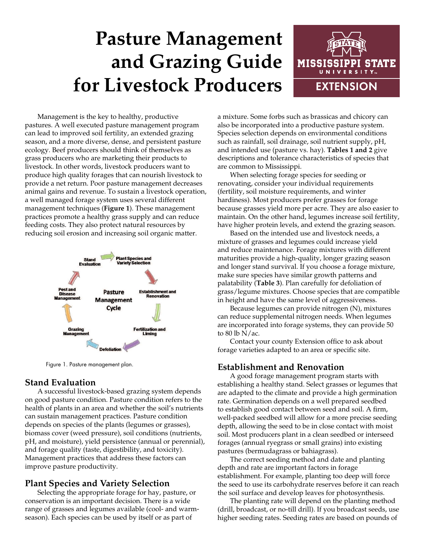# **Pasture Management and Grazing Guide for Livestock Producers**



Management is the key to healthy, productive pastures. A well executed pasture management program can lead to improved soil fertility, an extended grazing season, and a more diverse, dense, and persistent pasture ecology. Beef producers should think of themselves as grass producers who are marketing their products to livestock. In other words, livestock producers want to produce high quality forages that can nourish livestock to provide a net return. Poor pasture management decreases animal gains and revenue. To sustain a livestock operation, a well managed forage system uses several different management techniques (**Figure 1**). These management practices promote a healthy grass supply and can reduce feeding costs. They also protect natural resources by reducing soil erosion and increasing soil organic matter.



Figure 1. Pasture management plan.

### **Stand Evaluation**

A successful livestock-based grazing system depends on good pasture condition. Pasture condition refers to the health of plants in an area and whether the soil's nutrients can sustain management practices. Pasture condition depends on species of the plants (legumes or grasses), biomass cover (weed pressure), soil conditions (nutrients, pH, and moisture), yield persistence (annual or perennial), and forage quality (taste, digestibility, and toxicity). Management practices that address these factors can improve pasture productivity.

### **Plant Species and Variety Selection**

Selecting the appropriate forage for hay, pasture, or conservation is an important decision. There is a wide range of grasses and legumes available (cool- and warmseason). Each species can be used by itself or as part of

a mixture. Some forbs such as brassicas and chicory can also be incorporated into a productive pasture system. Species selection depends on environmental conditions such as rainfall, soil drainage, soil nutrient supply, pH, and intended use (pasture vs. hay). **Tables 1 and 2** give descriptions and tolerance characteristics of species that are common to Mississippi.

When selecting forage species for seeding or renovating, consider your individual requirements (fertility, soil moisture requirements, and winter hardiness). Most producers prefer grasses for forage because grasses yield more per acre. They are also easier to maintain. On the other hand, legumes increase soil fertility, have higher protein levels, and extend the grazing season.

Based on the intended use and livestock needs, a mixture of grasses and legumes could increase yield and reduce maintenance. Forage mixtures with different maturities provide a high-quality, longer grazing season and longer stand survival. If you choose a forage mixture, make sure species have similar growth patterns and palatability (**Table 3**). Plan carefully for defoliation of grass/legume mixtures. Choose species that are compatible in height and have the same level of aggressiveness.

Because legumes can provide nitrogen (N), mixtures can reduce supplemental nitrogen needs. When legumes are incorporated into forage systems, they can provide 50 to 80 lb  $N/ac$ .

Contact your county Extension office to ask about forage varieties adapted to an area or specific site.

### **Establishment and Renovation**

A good forage management program starts with establishing a healthy stand. Select grasses or legumes that are adapted to the climate and provide a high germination rate. Germination depends on a well prepared seedbed to establish good contact between seed and soil. A firm, well-packed seedbed will allow for a more precise seeding depth, allowing the seed to be in close contact with moist soil. Most producers plant in a clean seedbed or interseed forages (annual ryegrass or small grains) into existing pastures (bermudagrass or bahiagrass).

The correct seeding method and date and planting depth and rate are important factors in forage establishment. For example, planting too deep will force the seed to use its carbohydrate reserves before it can reach the soil surface and develop leaves for photosynthesis.

The planting rate will depend on the planting method (drill, broadcast, or no-till drill). If you broadcast seeds, use higher seeding rates. Seeding rates are based on pounds of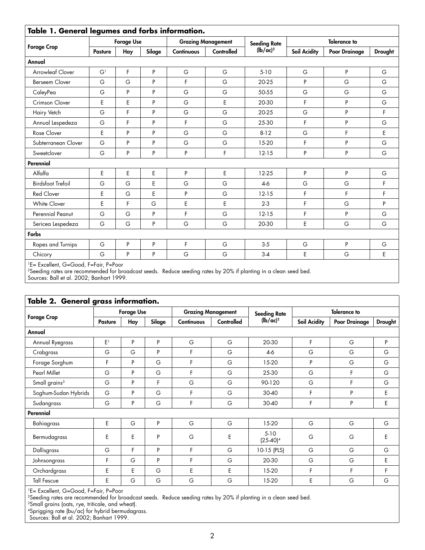| Table 1. General legumes and forbs information. |                   |     |                           |                   |                     |                     |                     |                      |                |
|-------------------------------------------------|-------------------|-----|---------------------------|-------------------|---------------------|---------------------|---------------------|----------------------|----------------|
| <b>Forage Crop</b>                              | <b>Forage Use</b> |     | <b>Grazing Management</b> |                   | <b>Seeding Rate</b> | <b>Tolerance to</b> |                     |                      |                |
|                                                 | Pasture           | Hay | Silage                    | <b>Continuous</b> | <b>Controlled</b>   | $(lb/ac)^2$         | <b>Soil Acidity</b> | <b>Poor Drainage</b> | <b>Drought</b> |
| Annual                                          |                   |     |                           |                   |                     |                     |                     |                      |                |
| <b>Arrowleaf Clover</b>                         | G <sup>1</sup>    | F   | P                         | G                 | G                   | $5-10$              | G                   | P                    | G              |
| <b>Berseem Clover</b>                           | G                 | G   | P                         | F                 | G                   | 20-25               | P                   | G                    | G              |
| CaleyPea                                        | G                 | P   | P                         | G                 | G                   | 50-55               | G                   | G                    | G              |
| Crimson Clover                                  | E                 | E   | P                         | G                 | E                   | 20-30               | F                   | P                    | G              |
| Hairy Vetch                                     | G                 | F   | P                         | G                 | G                   | 20-25               | G                   | P                    | F              |
| Annual Lespedeza                                | G                 | F   | P                         | F                 | G                   | 25-30               | F                   | P                    | G              |
| Rose Clover                                     | E                 | P   | P                         | G                 | G                   | $8-12$              | G                   | F                    | E              |
| Subterranean Clover                             | G                 | P   | P                         | G                 | G                   | 15-20               | F                   | P                    | G              |
| Sweetclover                                     | G                 | P   | P                         | P                 | F                   | $12 - 15$           | P                   | P                    | G              |
| Perennial                                       |                   |     |                           |                   |                     |                     |                     |                      |                |
| Alfalfa                                         | E                 | E   | E                         | P                 | E                   | 12-25               | P                   | P                    | G              |
| <b>Birdsfoot Trefoil</b>                        | G                 | G   | E                         | G                 | G                   | $4-6$               | G                   | G                    | F              |
| <b>Red Clover</b>                               | E                 | G   | E                         | P                 | G                   | $12 - 15$           | F                   | F                    | F              |
| White Clover                                    | E                 | F   | G                         | E                 | E                   | $2 - 3$             | F                   | G                    | P              |
| Perennial Peanut                                | G                 | G   | P                         | F                 | G                   | $12 - 15$           | F                   | P                    | G              |
| Sericea Lespedeza                               | G                 | G   | P                         | G                 | G                   | 20-30               | E                   | G                    | G              |
| Forbs                                           |                   |     |                           |                   |                     |                     |                     |                      |                |
| Rapes and Turnips                               | G                 | P   | P                         | F                 | G                   | $3-5$               | G                   | P                    | G              |
| Chicory                                         | G                 | P   | P                         | G                 | G                   | $3 - 4$             | E                   | G                    | E              |

1E= Excellent, G=Good, F=Fair, P=Poor

2Seeding rates are recommended for broadcast seeds. Reduce seeding rates by 20% if planting in a clean seed bed.

Sources: Ball et al. 2002; Banhart 1999.

| Table 2. General grass information. |                   |               |   |                                        |   |                       |                     |                      |         |  |
|-------------------------------------|-------------------|---------------|---|----------------------------------------|---|-----------------------|---------------------|----------------------|---------|--|
|                                     | <b>Forage Use</b> |               |   | <b>Grazing Management</b>              |   | <b>Seeding Rate</b>   | <b>Tolerance to</b> |                      |         |  |
| <b>Forage Crop</b>                  | <b>Pasture</b>    | Silage<br>Hay |   | <b>Controlled</b><br><b>Continuous</b> |   | $(lb/ac)^2$           | Soil Acidity        | <b>Poor Drainage</b> | Drought |  |
| Annual                              |                   |               |   |                                        |   |                       |                     |                      |         |  |
| Annual Ryegrass                     | E <sup>1</sup>    | P             | P | G                                      | G | 20-30                 | F.                  | G                    | P       |  |
| Crabgrass                           | G                 | G             | P | F                                      | G | $4-6$                 | G                   | G                    | G       |  |
| Forage Sorghum                      | F                 | P             | G | F                                      | G | 15-20                 | P                   | G                    | G       |  |
| <b>Pearl Millet</b>                 | G                 | P             | G | F                                      | G | 25-30                 | G                   | F                    | G       |  |
| Small grains <sup>3</sup>           | G                 | P             | F | G                                      | G | 90-120                | G                   | F                    | G       |  |
| Soghum-Sudan Hybrids                | G                 | P             | G | F                                      | G | 30-40                 | F                   | P                    | E       |  |
| Sudangrass                          | G                 | P             | G | F                                      | G | 30-40                 | F                   | P                    | E       |  |
| Perennial                           |                   |               |   |                                        |   |                       |                     |                      |         |  |
| Bahiagrass                          | E                 | G             | P | G                                      | G | 15-20                 | G                   | G                    | G       |  |
| Bermudagrass                        | E                 | E             | P | G                                      | Ε | $5-10$<br>$(25-40)^4$ | G                   | G                    | E       |  |
| Dallisgrass                         | G                 | F             | P | F                                      | G | 10-15 (PLS)           | G                   | G                    | G       |  |
| Johnsongrass                        | F                 | G             | P | F                                      | G | 20-30                 | G                   | G                    | E       |  |
| Orchardgrass                        | E                 | E             | G | E                                      | E | 15-20                 | F                   | F                    | F       |  |
| <b>Tall Fescue</b>                  | E                 | G             | G | G                                      | G | 15-20                 | E                   | G                    | G       |  |

1E= Excellent, G=Good, F=Fair, P=Poor

2Seeding rates are recommended for broadcast seeds. Reduce seeding rates by 20% if planting in a clean seed bed.

 $^3$ Small grains (oats, rye, triticale, and wheat).

4Sprigging rate (bu/ac) for hybrid bermudagrass.

Sources: Ball et al. 2002; Banhart 1999.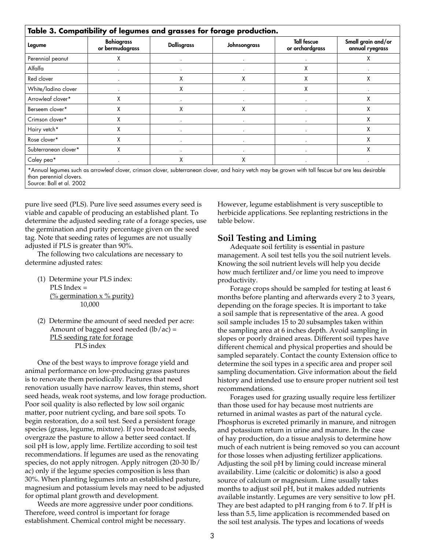| Legume               | <b>Bahiagrass</b><br>or bermudagrass | <b>Dallisgrass</b> | Johnsongrass | <b>Tall fescue</b><br>or orchardgrass | Small grain and/or<br>annual ryegrass |
|----------------------|--------------------------------------|--------------------|--------------|---------------------------------------|---------------------------------------|
| Perennial peanut     | X                                    |                    |              |                                       | Χ                                     |
| Alfalfa              |                                      |                    |              | χ                                     |                                       |
| Red clover           |                                      | X                  | X            | Χ                                     | X                                     |
| White/ladino clover  |                                      | X                  |              | x                                     |                                       |
| Arrowleaf clover*    | χ                                    |                    |              |                                       | χ                                     |
| Berseem clover*      | X                                    | X                  | X            |                                       | χ                                     |
| Crimson clover*      | Χ                                    |                    |              |                                       | χ                                     |
| Hairy vetch*         | Χ                                    |                    |              |                                       | χ                                     |
| Rose clover*         | Χ                                    |                    |              |                                       | χ                                     |
| Subterranean clover* | Χ                                    |                    |              |                                       | χ                                     |
| Caley pea*           |                                      | X                  | X            |                                       |                                       |

Source: Ball et al. 2002

pure live seed (PLS). Pure live seed assumes every seed is viable and capable of producing an established plant. To determine the adjusted seeding rate of a forage species, use the germination and purity percentage given on the seed tag. Note that seeding rates of legumes are not usually adjusted if PLS is greater than 90%.

The following two calculations are necessary to determine adjusted rates:

- (1) Determine your PLS index: PLS Index =  $\frac{(\% \, \text{germination} \times \% \, \text{purity})}{(\% \, \text{germination} \times \% \, \text{purity})}$ 10,000
- (2) Determine the amount of seed needed per acre: Amount of bagged seed needed  $(lb/ac)$  = PLS seeding rate for forage PLS index

One of the best ways to improve forage yield and animal performance on low-producing grass pastures is to renovate them periodically. Pastures that need renovation usually have narrow leaves, thin stems, short seed heads, weak root systems, and low forage production. Poor soil quality is also reflected by low soil organic matter, poor nutrient cycling, and bare soil spots. To begin restoration, do a soil test. Seed a persistent forage species (grass, legume, mixture). If you broadcast seeds, overgraze the pasture to allow a better seed contact. If soil pH is low, apply lime. Fertilize according to soil test recommendations. If legumes are used as the renovating species, do not apply nitrogen. Apply nitrogen (20-30 lb/ ac) only if the legume species composition is less than 30%. When planting legumes into an established pasture, magnesium and potassium levels may need to be adjusted for optimal plant growth and development.

Weeds are more aggressive under poor conditions. Therefore, weed control is important for forage establishment. Chemical control might be necessary.

However, legume establishment is very susceptible to herbicide applications. See replanting restrictions in the table below.

## **Soil Testing and Liming**

Adequate soil fertility is essential in pasture management. A soil test tells you the soil nutrient levels. Knowing the soil nutrient levels will help you decide how much fertilizer and/or lime you need to improve productivity.

Forage crops should be sampled for testing at least 6 months before planting and afterwards every 2 to 3 years, depending on the forage species. It is important to take a soil sample that is representative of the area. A good soil sample includes 15 to 20 subsamples taken within the sampling area at 6 inches depth. Avoid sampling in slopes or poorly drained areas. Different soil types have different chemical and physical properties and should be sampled separately. Contact the county Extension office to determine the soil types in a specific area and proper soil sampling documentation. Give information about the field history and intended use to ensure proper nutrient soil test recommendations.

Forages used for grazing usually require less fertilizer than those used for hay because most nutrients are returned in animal wastes as part of the natural cycle. Phosphorus is excreted primarily in manure, and nitrogen and potassium return in urine and manure. In the case of hay production, do a tissue analysis to determine how much of each nutrient is being removed so you can account for those losses when adjusting fertilizer applications. Adjusting the soil pH by liming could increase mineral availability. Lime (calcitic or dolomitic) is also a good source of calcium or magnesium. Lime usually takes months to adjust soil pH, but it makes added nutrients available instantly. Legumes are very sensitive to low pH. They are best adapted to pH ranging from 6 to 7. If pH is less than 5.5, lime application is recommended based on the soil test analysis. The types and locations of weeds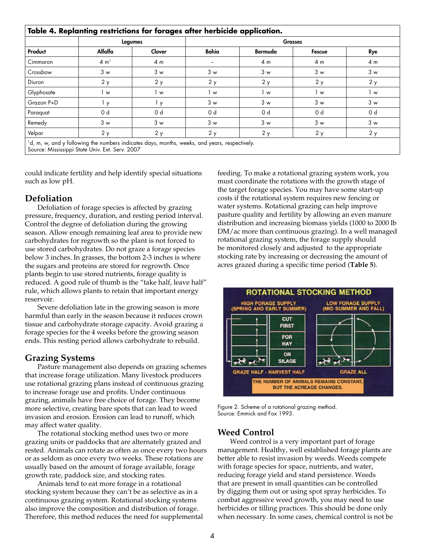|            | Legumes         |                | <b>Grasses</b> |         |                |     |  |  |  |
|------------|-----------------|----------------|----------------|---------|----------------|-----|--|--|--|
| Product    | Alfalfa         | Clover         | Bahia          | Bermuda | Fescue         | Rye |  |  |  |
| Cimmaron   | $4 \text{ m}^1$ | 4 m            | -              | 4 m     | 4 <sub>m</sub> | 4 m |  |  |  |
| Crossbow   | 3 w             | 3 w            | 3 w            | 3 w     | 3 w            | 3 w |  |  |  |
| Diuron     | 2y              | 2y             | 2y             | 2y      | 2y             | 2y  |  |  |  |
| Glyphosate | w               | 1 w            | 1 w            | 1 w     | 1 w            | l w |  |  |  |
| Grazon P+D | l y             | $I \times Y$   | 3 w            | 3 w     | 3 w            | 3 w |  |  |  |
| Paraguat   | 0 d             | 0 <sub>d</sub> | 0 <sub>d</sub> | 0 d     | 0 d            | 0 d |  |  |  |
| Remedy     | 3 w             | 3 w            | 3 w            | 3 w     | 3 w            | 3 w |  |  |  |
| Velpar     | 2y              | 2y             | 2y             | 2y      | 2y             | 2y  |  |  |  |

could indicate fertility and help identify special situations such as low pH.

## **Defoliation**

Defoliation of forage species is affected by grazing pressure, frequency, duration, and resting period interval. Control the degree of defoliation during the growing season. Allow enough remaining leaf area to provide new carbohydrates for regrowth so the plant is not forced to use stored carbohydrates. Do not graze a forage species below 3 inches. In grasses, the bottom 2-3 inches is where the sugars and proteins are stored for regrowth. Once plants begin to use stored nutrients, forage quality is reduced. A good rule of thumb is the "take half, leave half" rule, which allows plants to retain that important energy reservoir.

Severe defoliation late in the growing season is more harmful than early in the season because it reduces crown tissue and carbohydrate storage capacity. Avoid grazing a forage species for the 4 weeks before the growing season ends. This resting period allows carbohydrate to rebuild.

# **Grazing Systems**

Pasture management also depends on grazing schemes that increase forage utilization. Many livestock producers use rotational grazing plans instead of continuous grazing to increase forage use and profits. Under continuous grazing, animals have free choice of forage. They become more selective, creating bare spots that can lead to weed invasion and erosion. Erosion can lead to runoff, which may affect water quality.

The rotational stocking method uses two or more grazing units or paddocks that are alternately grazed and rested. Animals can rotate as often as once every two hours or as seldom as once every two weeks. These rotations are usually based on the amount of forage available, forage growth rate, paddock size, and stocking rates.

Animals tend to eat more forage in a rotational stocking system because they can't be as selective as in a continuous grazing system. Rotational stocking systems also improve the composition and distribution of forage. Therefore, this method reduces the need for supplemental feeding. To make a rotational grazing system work, you must coordinate the rotations with the growth stage of the target forage species. You may have some start-up costs if the rotational system requires new fencing or water systems. Rotational grazing can help improve pasture quality and fertility by allowing an even manure distribution and increasing biomass yields (1000 to 2000 lb DM/ac more than continuous grazing). In a well managed rotational grazing system, the forage supply should be monitored closely and adjusted to the appropriate stocking rate by increasing or decreasing the amount of acres grazed during a specific time period (**Table 5**).



Figure 2. Scheme of a rotational grazing method. Source: Emmick and Fox 1993.

# **Weed Control**

Weed control is a very important part of forage management. Healthy, well established forage plants are better able to resist invasion by weeds. Weeds compete with forage species for space, nutrients, and water, reducing forage yield and stand persistence. Weeds that are present in small quantities can be controlled by digging them out or using spot spray herbicides. To combat aggressive weed growth, you may need to use herbicides or tilling practices. This should be done only when necessary. In some cases, chemical control is not be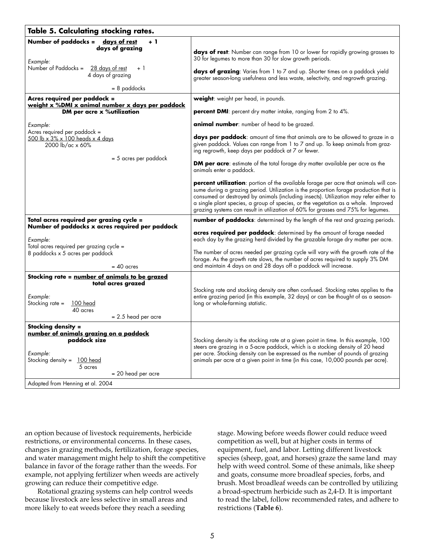| Table 5. Calculating stocking rates.                                                                                                                                                                    |                                                                                                                                                                                                                                                                                                                                                                                                                                                                                       |
|---------------------------------------------------------------------------------------------------------------------------------------------------------------------------------------------------------|---------------------------------------------------------------------------------------------------------------------------------------------------------------------------------------------------------------------------------------------------------------------------------------------------------------------------------------------------------------------------------------------------------------------------------------------------------------------------------------|
| Number of paddocks = days of rest<br>$+1$<br>days of grazing<br>Example:<br>Number of Paddocks $=$<br>28 days of rest<br>$+1$<br>4 days of grazing<br>$= 8$ paddocks                                    | days of rest: Number can range from 10 or lower for rapidly growing grasses to<br>30 for legumes to more than 30 for slow growth periods.<br>days of grazing: Varies from 1 to 7 and up. Shorter times on a paddock yield<br>greater season-long usefulness and less waste, selectivity, and regrowth grazing.                                                                                                                                                                        |
|                                                                                                                                                                                                         |                                                                                                                                                                                                                                                                                                                                                                                                                                                                                       |
| Acres required per paddock =<br>weight x %DMI x animal number x days per paddock<br>DM per acre x % utilization                                                                                         | <b>weight</b> : weight per head, in pounds.<br><b>percent DMI</b> : percent dry matter intake, ranging from 2 to 4%.                                                                                                                                                                                                                                                                                                                                                                  |
| Example:<br>Acres required per paddock =<br>500 lb x 3% x 100 heads x 4 days<br>2000 lb/ac x 60%                                                                                                        | <b>animal number</b> : number of head to be grazed.<br>days per paddock: amount of time that animals are to be allowed to graze in a<br>given paddock. Values can range from 1 to 7 and up. To keep animals from graz-<br>ing regrowth, keep days per paddock at 7 or fewer.                                                                                                                                                                                                          |
| = 5 acres per paddock                                                                                                                                                                                   | DM per acre: estimate of the total forage dry matter available per acre as the<br>animals enter a paddock.                                                                                                                                                                                                                                                                                                                                                                            |
|                                                                                                                                                                                                         | percent utilization: portion of the available forage per acre that animals will con-<br>sume during a grazing period. Utilization is the proportion forage production that is<br>consumed or destroyed by animals (including insects). Utilization may refer either to<br>a single plant species, a group of species, or the vegetation as a whole. Improved<br>grazing systems can result in utilization of 60% for grasses and 75% for legumes.                                     |
| Total acres required per grazing cycle =<br>Number of paddocks x acres required per paddock<br>Example:<br>Total acres required per grazing cycle =<br>8 paddocks x 5 acres per paddock<br>$= 40$ acres | number of paddocks: determined by the length of the rest and grazing periods.<br>acres required per paddock: determined by the amount of forage needed<br>each day by the grazing herd divided by the grazable forage dry matter per acre.<br>The number of acres needed per grazing cycle will vary with the growth rate of the<br>forage. As the growth rate slows, the number of acres required to supply 3% DM<br>and maintain 4 days on and 28 days off a paddock will increase. |
| Stocking rate = number of animals to be grazed<br>total acres grazed<br>Example:<br>Stocking rate =<br>100 head<br>40 acres<br>$= 2.5$ head per acre                                                    | Stocking rate and stocking density are often confused. Stocking rates applies to the<br>entire grazing period (in this example, 32 days) or can be thought of as a season-<br>long or whole-farming statistic.                                                                                                                                                                                                                                                                        |
| Stocking density =<br>number of animals grazing on a paddock<br>paddock size<br>Example:<br>Stocking density = $100$ head<br>5 acres<br>$= 20$ head per acre<br>Adapted from Henning et al. 2004        | Stocking density is the stocking rate at a given point in time. In this example, 100<br>steers are grazing in a 5-acre paddock, which is a stocking density of 20 head<br>per acre. Stocking density can be expressed as the number of pounds of grazing<br>animals per acre at a given point in time (in this case, 10,000 pounds per acre).                                                                                                                                         |

an option because of livestock requirements, herbicide restrictions, or environmental concerns. In these cases, changes in grazing methods, fertilization, forage species, and water management might help to shift the competitive balance in favor of the forage rather than the weeds. For example, not applying fertilizer when weeds are actively growing can reduce their competitive edge.

Rotational grazing systems can help control weeds because livestock are less selective in small areas and more likely to eat weeds before they reach a seeding

stage. Mowing before weeds flower could reduce weed competition as well, but at higher costs in terms of equipment, fuel, and labor. Letting different livestock species (sheep, goat, and horses) graze the same land may help with weed control. Some of these animals, like sheep and goats, consume more broadleaf species, forbs, and brush. Most broadleaf weeds can be controlled by utilizing a broad-spectrum herbicide such as 2,4-D. It is important to read the label, follow recommended rates, and adhere to restrictions (**Table 6**).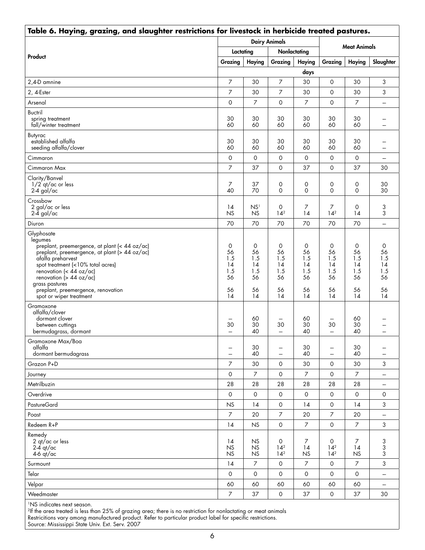| Table 6. Haying, grazing, and slaughter restrictions for livestock in herbicide treated pastures.                                                                                                                                                                                                 |                                         |                                         |                                                    |                                         |                                                                  |                                         |                                         |  |
|---------------------------------------------------------------------------------------------------------------------------------------------------------------------------------------------------------------------------------------------------------------------------------------------------|-----------------------------------------|-----------------------------------------|----------------------------------------------------|-----------------------------------------|------------------------------------------------------------------|-----------------------------------------|-----------------------------------------|--|
|                                                                                                                                                                                                                                                                                                   |                                         |                                         | <b>Dairy Animals</b>                               |                                         | <b>Meat Animals</b>                                              |                                         |                                         |  |
|                                                                                                                                                                                                                                                                                                   | Lactating                               |                                         | Nonlactating                                       |                                         |                                                                  |                                         |                                         |  |
| Product                                                                                                                                                                                                                                                                                           | Grazing                                 | <b>Haying</b>                           | Grazing                                            | Haying                                  | Grazing                                                          | Haying                                  | Slaughter                               |  |
|                                                                                                                                                                                                                                                                                                   |                                         |                                         |                                                    | days                                    |                                                                  |                                         |                                         |  |
| 2,4-D amnine                                                                                                                                                                                                                                                                                      | $\overline{7}$                          | 30                                      | $\overline{7}$                                     | 30                                      | $\mathbf 0$                                                      | 30                                      | 3                                       |  |
| 2, 4-Ester                                                                                                                                                                                                                                                                                        | $\overline{7}$                          | 30                                      | 7                                                  | 30                                      | $\mathbf 0$                                                      | 30                                      | 3                                       |  |
| Arsenal                                                                                                                                                                                                                                                                                           | $\circ$                                 | $\overline{7}$                          | $\circ$                                            | 7                                       | $\mathbf 0$                                                      | $\overline{7}$                          | $\overline{\phantom{a}}$                |  |
| <b>Buctril</b><br>spring treatment<br>fall/winter treatment                                                                                                                                                                                                                                       | 30<br>60                                | 30<br>60                                | 30<br>60                                           | 30<br>60                                | 30<br>60                                                         | 30<br>60                                |                                         |  |
| Butyrac<br>established alfalfa<br>seeding alfalfa/clover                                                                                                                                                                                                                                          | 30<br>60                                | 30<br>60                                | 30<br>60                                           | 30<br>60                                | 30<br>60                                                         | 30<br>60                                |                                         |  |
| Cimmaron                                                                                                                                                                                                                                                                                          | $\circ$                                 | 0                                       | $\mathsf{O}$                                       | 0                                       | $\mathsf O$                                                      | $\mathsf{O}$                            |                                         |  |
| Cimmaron Max                                                                                                                                                                                                                                                                                      | 7                                       | 37                                      | $\circ$                                            | 37                                      | $\mathbf 0$                                                      | 37                                      | 30                                      |  |
| Clarity/Banvel<br>$1/2$ qt/ac or less<br>$2-4$ gal/ac                                                                                                                                                                                                                                             | 7<br>40                                 | 37<br>70                                | 0<br>$\Omega$                                      | 0<br>$\Omega$                           | 0<br>$\Omega$                                                    | 0<br>$\Omega$                           | 30<br>30                                |  |
| Crossbow<br>2 gal/ac or less<br>$2-\bar{4}$ gal/ac                                                                                                                                                                                                                                                | 14<br>NS                                | NS <sup>1</sup><br><b>NS</b>            | 0<br>$14^{2}$                                      | 7<br>14                                 | 7<br>14 <sup>2</sup>                                             | 0<br>14                                 | 3<br>3                                  |  |
| Diuron                                                                                                                                                                                                                                                                                            | 70                                      | 70                                      | 70                                                 | 70                                      | 70                                                               | 70                                      | $\overline{\phantom{m}}$                |  |
| Glyphosate<br>legumes<br>preplant, preemergence, at plant (< 44 oz/ac)<br>preplant, preemergence, at plant (> 44 oz/ac)<br>afalfa preharvest<br>spot treatment (<10% total acres)<br>renovation (< $44$ oz/ac)<br>renovation (> 44 oz/ac)<br>grass pastures<br>preplant, preemergence, renovation | 0<br>56<br>1.5<br>14<br>1.5<br>56<br>56 | 0<br>56<br>1.5<br>14<br>1.5<br>56<br>56 | 0<br>56<br>1.5<br>14<br>1.5<br>56<br>56            | 0<br>56<br>1.5<br>14<br>1.5<br>56<br>56 | $\mathbf 0$<br>56<br>1.5<br>14<br>1.5<br>56<br>56                | 0<br>56<br>1.5<br>14<br>1.5<br>56<br>56 | 0<br>56<br>1.5<br>14<br>1.5<br>56<br>56 |  |
| spot or wiper treatment<br>Gramoxone<br>alfalfa/clover<br>dormant clover<br>between cuttings<br>bermudagrass, dormant                                                                                                                                                                             | 14<br>--<br>30                          | 14<br>60<br>30<br>40                    | 14<br>$\overline{\phantom{m}}$<br>30<br><u></u>    | 14<br>60<br>30<br>40                    | 14<br>$\overline{\phantom{m}}$<br>30<br>$\overline{\phantom{m}}$ | 14<br>60<br>30<br>40                    | 14                                      |  |
| Gramoxone Max/Boa<br>alfalfa<br>dormant bermudagrass                                                                                                                                                                                                                                              | --<br>$\overline{\phantom{a}}$          | 30<br>40                                | -<br>$\overline{\phantom{a}}$                      | 30<br>40                                | $\overline{\phantom{m}}$<br>$\overline{\phantom{a}}$             | 30<br>40                                |                                         |  |
| Grazon P+D                                                                                                                                                                                                                                                                                        | 7                                       | 30                                      | 0                                                  | 30                                      | $\mathsf{O}$                                                     | 30                                      | 3                                       |  |
| Journey                                                                                                                                                                                                                                                                                           | $\circ$                                 | $\overline{7}$                          | $\circ$                                            | $\overline{7}$                          | $\mathsf O$                                                      | $\overline{7}$                          | $\overline{\phantom{a}}$                |  |
| Metrilbuzin                                                                                                                                                                                                                                                                                       | 28                                      | 28                                      | 28                                                 | 28                                      | 28                                                               | 28                                      | $\qquad \qquad \longleftarrow$          |  |
| Overdrive                                                                                                                                                                                                                                                                                         | $\circ$                                 | $\mathsf O$                             | $\circ$                                            | $\mathsf O$                             | $\mathsf O$                                                      | $\circ$                                 | $\mathsf{O}$                            |  |
| PastureGard                                                                                                                                                                                                                                                                                       | <b>NS</b>                               | 14                                      | 0                                                  | 14                                      | $\mathsf O$                                                      | 14                                      | 3                                       |  |
| Poast                                                                                                                                                                                                                                                                                             | $\overline{7}$                          | 20                                      | $\overline{7}$                                     | 20                                      | $\overline{7}$                                                   | 20                                      |                                         |  |
| Redeem R+P                                                                                                                                                                                                                                                                                        | 14                                      | <b>NS</b>                               | $\mathsf O$                                        | 7                                       | $\mathsf O$                                                      | $\overline{7}$                          | 3                                       |  |
| Remedy<br>2 qt/ac or less<br>$2-4$ qt/ac<br>$4-6$ qt/ac                                                                                                                                                                                                                                           | 14<br><b>NS</b><br><b>NS</b>            | <b>NS</b><br><b>NS</b><br><b>NS</b>     | $\mathsf{O}$<br>14 <sup>2</sup><br>14 <sup>2</sup> | 7<br>14<br><b>NS</b>                    | $\mathsf O$<br>14 <sup>2</sup><br>14 <sup>2</sup>                | 7<br>14<br><b>NS</b>                    | 3<br>3<br>3                             |  |
| Surmount                                                                                                                                                                                                                                                                                          | 14                                      | 7                                       | $\circ$                                            | 7                                       | $\mathsf O$                                                      | $\overline{7}$                          | 3                                       |  |
| Telar                                                                                                                                                                                                                                                                                             | $\circ$                                 | $\mathsf{O}$                            | $\mathsf{O}$                                       | $\mathsf O$                             | $\mathbf 0$                                                      | $\mathbf 0$                             |                                         |  |
| Velpar                                                                                                                                                                                                                                                                                            | 60                                      | 60                                      | 60                                                 | 60                                      | 60                                                               | 60                                      | $\overline{\phantom{a}}$                |  |
| Weedmaster                                                                                                                                                                                                                                                                                        | 7                                       | 37                                      | $\mathsf O$                                        | 37                                      | $\mathsf O$                                                      | 37                                      | 30                                      |  |

1NS indicates next season.

2If the area treated is less than 25% of grazing area; there is no restriction for nonlactating or meat animals Restricitions vary among manufactured product. Refer to particular product label for specific restrictions.

Source: Mississippi State Univ. Ext. Serv. 2007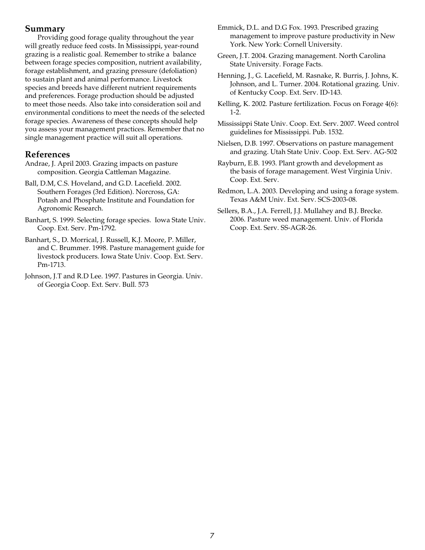### **Summary**

Providing good forage quality throughout the year will greatly reduce feed costs. In Mississippi, year-round grazing is a realistic goal. Remember to strike a balance between forage species composition, nutrient availability, forage establishment, and grazing pressure (defoliation) to sustain plant and animal performance. Livestock species and breeds have different nutrient requirements and preferences. Forage production should be adjusted to meet those needs. Also take into consideration soil and environmental conditions to meet the needs of the selected forage species. Awareness of these concepts should help you assess your management practices. Remember that no single management practice will suit all operations.

## **References**

- Andrae, J. April 2003. Grazing impacts on pasture composition. Georgia Cattleman Magazine.
- Ball, D.M, C.S. Hoveland, and G.D. Lacefield. 2002. Southern Forages (3rd Edition). Norcross, GA: Potash and Phosphate Institute and Foundation for Agronomic Research.
- Banhart, S. 1999. Selecting forage species. Iowa State Univ. Coop. Ext. Serv. Pm-1792.
- Banhart, S., D. Morrical, J. Russell, K.J. Moore, P. Miller, and C. Brummer. 1998. Pasture management guide for livestock producers. Iowa State Univ. Coop. Ext. Serv. Pm-1713.
- Johnson, J.T and R.D Lee. 1997. Pastures in Georgia. Univ. of Georgia Coop. Ext. Serv. Bull. 573
- Emmick, D.L. and D.G Fox. 1993. Prescribed grazing management to improve pasture productivity in New York. New York: Cornell University.
- Green, J.T. 2004. Grazing management. North Carolina State University. Forage Facts.
- Henning, J., G. Lacefield, M. Rasnake, R. Burris, J. Johns, K. Johnson, and L. Turner. 2004. Rotational grazing. Univ. of Kentucky Coop. Ext. Serv. ID-143.
- Kelling, K. 2002. Pasture fertilization. Focus on Forage 4(6): 1-2.
- Mississippi State Univ. Coop. Ext. Serv. 2007. Weed control guidelines for Mississippi. Pub. 1532.
- Nielsen, D.B. 1997. Observations on pasture management and grazing. Utah State Univ. Coop. Ext. Serv. AG-502
- Rayburn, E.B. 1993. Plant growth and development as the basis of forage management. West Virginia Univ. Coop. Ext. Serv.
- Redmon, L.A. 2003. Developing and using a forage system. Texas A&M Univ. Ext. Serv. SCS-2003-08.
- Sellers, B.A., J.A. Ferrell, J.J. Mullahey and B.J. Brecke. 2006. Pasture weed management. Univ. of Florida Coop. Ext. Serv. SS-AGR-26.